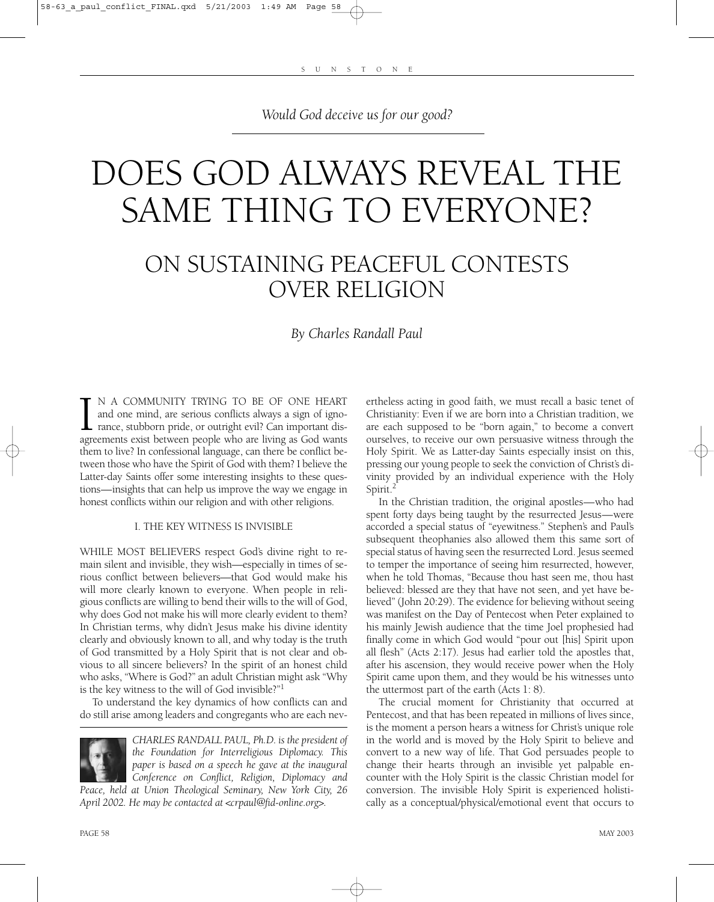*Would God deceive us for our good?*

# DOES GOD ALWAYS REVEAL THE SAME THING TO EVERYONE?

# ON SUSTAINING PEACEFUL CONTESTS OVER RELIGION

## *By Charles Randall Paul*

I N A COMMUNITY TRYING TO BE OF ONE HEART and one mind, are serious conflicts always a sign of ignorance, stubborn pride, or outright evil? Can important disagreements exist between people who are living as God wants N A COMMUNITY TRYING TO BE OF ONE HEART and one mind, are serious conflicts always a sign of ignorance, stubborn pride, or outright evil? Can important disthem to live? In confessional language, can there be conflict between those who have the Spirit of God with them? I believe the Latter-day Saints offer some interesting insights to these questions—insights that can help us improve the way we engage in honest conflicts within our religion and with other religions.

#### I. THE KEY WITNESS IS INVISIBLE

WHILE MOST BELIEVERS respect God's divine right to remain silent and invisible, they wish—especially in times of serious conflict between believers—that God would make his will more clearly known to everyone. When people in religious conflicts are willing to bend their wills to the will of God, why does God not make his will more clearly evident to them? In Christian terms, why didn't Jesus make his divine identity clearly and obviously known to all, and why today is the truth of God transmitted by a Holy Spirit that is not clear and obvious to all sincere believers? In the spirit of an honest child who asks, "Where is God?" an adult Christian might ask "Why is the key witness to the will of God invisible?"1

To understand the key dynamics of how conflicts can and do still arise among leaders and congregants who are each nev-



*CHARLES RANDALL PAUL, Ph.D. is the president of the Foundation for Interreligious Diplomacy. This paper is based on a speech he gave at the inaugural Conference on Conflict, Religion, Diplomacy and*

*Peace, held at Union Theological Seminary, New York City, 26 April 2002. He may be contacted at <crpaul@fid-online.org>.*

ertheless acting in good faith, we must recall a basic tenet of Christianity: Even if we are born into a Christian tradition, we are each supposed to be "born again," to become a convert ourselves, to receive our own persuasive witness through the Holy Spirit. We as Latter-day Saints especially insist on this, pressing our young people to seek the conviction of Christ's divinity provided by an individual experience with the Holy Spirit.<sup>2</sup>

In the Christian tradition, the original apostles—who had spent forty days being taught by the resurrected Jesus—were accorded a special status of "eyewitness." Stephen's and Paul's subsequent theophanies also allowed them this same sort of special status of having seen the resurrected Lord. Jesus seemed to temper the importance of seeing him resurrected, however, when he told Thomas, "Because thou hast seen me, thou hast believed: blessed are they that have not seen, and yet have believed" (John 20:29). The evidence for believing without seeing was manifest on the Day of Pentecost when Peter explained to his mainly Jewish audience that the time Joel prophesied had finally come in which God would "pour out [his] Spirit upon all flesh" (Acts 2:17). Jesus had earlier told the apostles that, after his ascension, they would receive power when the Holy Spirit came upon them, and they would be his witnesses unto the uttermost part of the earth (Acts 1: 8).

The crucial moment for Christianity that occurred at Pentecost, and that has been repeated in millions of lives since, is the moment a person hears a witness for Christ's unique role in the world and is moved by the Holy Spirit to believe and convert to a new way of life. That God persuades people to change their hearts through an invisible yet palpable encounter with the Holy Spirit is the classic Christian model for conversion. The invisible Holy Spirit is experienced holistically as a conceptual/physical/emotional event that occurs to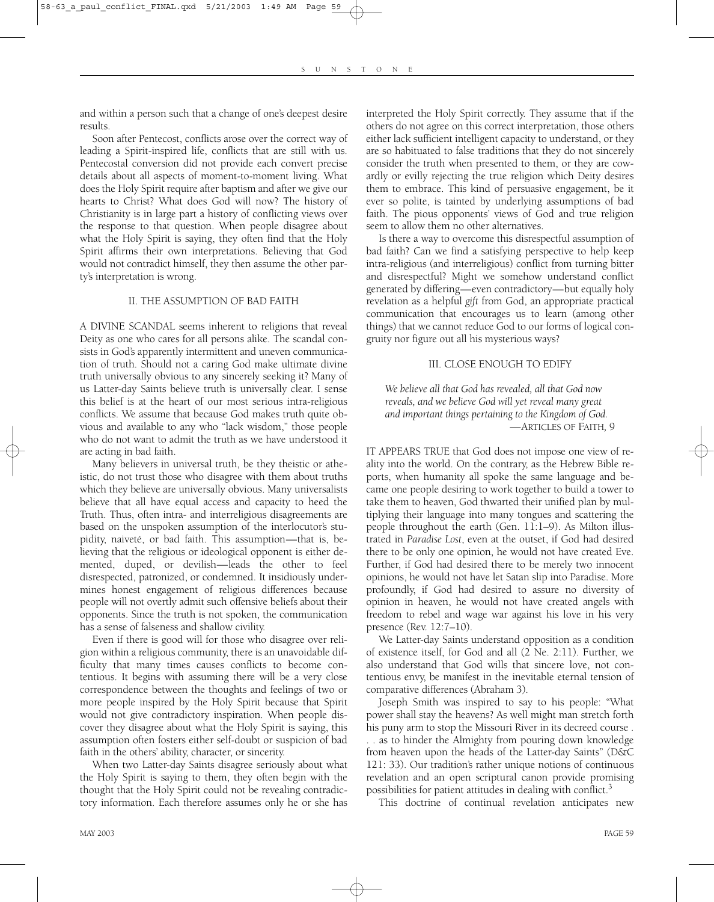and within a person such that a change of one's deepest desire results.

Soon after Pentecost, conflicts arose over the correct way of leading a Spirit-inspired life, conflicts that are still with us. Pentecostal conversion did not provide each convert precise details about all aspects of moment-to-moment living. What does the Holy Spirit require after baptism and after we give our hearts to Christ? What does God will now? The history of Christianity is in large part a history of conflicting views over the response to that question. When people disagree about what the Holy Spirit is saying, they often find that the Holy Spirit affirms their own interpretations. Believing that God would not contradict himself, they then assume the other party's interpretation is wrong.

#### II. THE ASSUMPTION OF BAD FAITH

A DIVINE SCANDAL seems inherent to religions that reveal Deity as one who cares for all persons alike. The scandal consists in God's apparently intermittent and uneven communication of truth. Should not a caring God make ultimate divine truth universally obvious to any sincerely seeking it? Many of us Latter-day Saints believe truth is universally clear. I sense this belief is at the heart of our most serious intra-religious conflicts. We assume that because God makes truth quite obvious and available to any who "lack wisdom," those people who do not want to admit the truth as we have understood it are acting in bad faith.

Many believers in universal truth, be they theistic or atheistic, do not trust those who disagree with them about truths which they believe are universally obvious. Many universalists believe that all have equal access and capacity to heed the Truth. Thus, often intra- and interreligious disagreements are based on the unspoken assumption of the interlocutor's stupidity, naiveté, or bad faith. This assumption—that is, believing that the religious or ideological opponent is either demented, duped, or devilish—leads the other to feel disrespected, patronized, or condemned. It insidiously undermines honest engagement of religious differences because people will not overtly admit such offensive beliefs about their opponents. Since the truth is not spoken, the communication has a sense of falseness and shallow civility.

Even if there is good will for those who disagree over religion within a religious community, there is an unavoidable difficulty that many times causes conflicts to become contentious. It begins with assuming there will be a very close correspondence between the thoughts and feelings of two or more people inspired by the Holy Spirit because that Spirit would not give contradictory inspiration. When people discover they disagree about what the Holy Spirit is saying, this assumption often fosters either self-doubt or suspicion of bad faith in the others' ability, character, or sincerity.

When two Latter-day Saints disagree seriously about what the Holy Spirit is saying to them, they often begin with the thought that the Holy Spirit could not be revealing contradictory information. Each therefore assumes only he or she has

interpreted the Holy Spirit correctly. They assume that if the others do not agree on this correct interpretation, those others either lack sufficient intelligent capacity to understand, or they are so habituated to false traditions that they do not sincerely consider the truth when presented to them, or they are cowardly or evilly rejecting the true religion which Deity desires them to embrace. This kind of persuasive engagement, be it ever so polite, is tainted by underlying assumptions of bad faith. The pious opponents' views of God and true religion seem to allow them no other alternatives.

Is there a way to overcome this disrespectful assumption of bad faith? Can we find a satisfying perspective to help keep intra-religious (and interreligious) conflict from turning bitter and disrespectful? Might we somehow understand conflict generated by differing—even contradictory—but equally holy revelation as a helpful *gift* from God, an appropriate practical communication that encourages us to learn (among other things) that we cannot reduce God to our forms of logical congruity nor figure out all his mysterious ways?

#### III. CLOSE ENOUGH TO EDIFY

*We believe all that God has revealed, all that God now reveals, and we believe God will yet reveal many great and important things pertaining to the Kingdom of God.* —ARTICLES OF FAITH*,* 9

IT APPEARS TRUE that God does not impose one view of reality into the world. On the contrary, as the Hebrew Bible reports, when humanity all spoke the same language and became one people desiring to work together to build a tower to take them to heaven, God thwarted their unified plan by multiplying their language into many tongues and scattering the people throughout the earth (Gen. 11:1–9). As Milton illustrated in *Paradise Lost*, even at the outset, if God had desired there to be only one opinion, he would not have created Eve. Further, if God had desired there to be merely two innocent opinions, he would not have let Satan slip into Paradise. More profoundly, if God had desired to assure no diversity of opinion in heaven, he would not have created angels with freedom to rebel and wage war against his love in his very presence (Rev. 12:7–10).

We Latter-day Saints understand opposition as a condition of existence itself, for God and all (2 Ne. 2:11). Further, we also understand that God wills that sincere love, not contentious envy, be manifest in the inevitable eternal tension of comparative differences (Abraham 3).

Joseph Smith was inspired to say to his people: "What power shall stay the heavens? As well might man stretch forth his puny arm to stop the Missouri River in its decreed course . . . as to hinder the Almighty from pouring down knowledge from heaven upon the heads of the Latter-day Saints" (D&C 121: 33). Our tradition's rather unique notions of continuous revelation and an open scriptural canon provide promising possibilities for patient attitudes in dealing with conflict.<sup>3</sup>

This doctrine of continual revelation anticipates new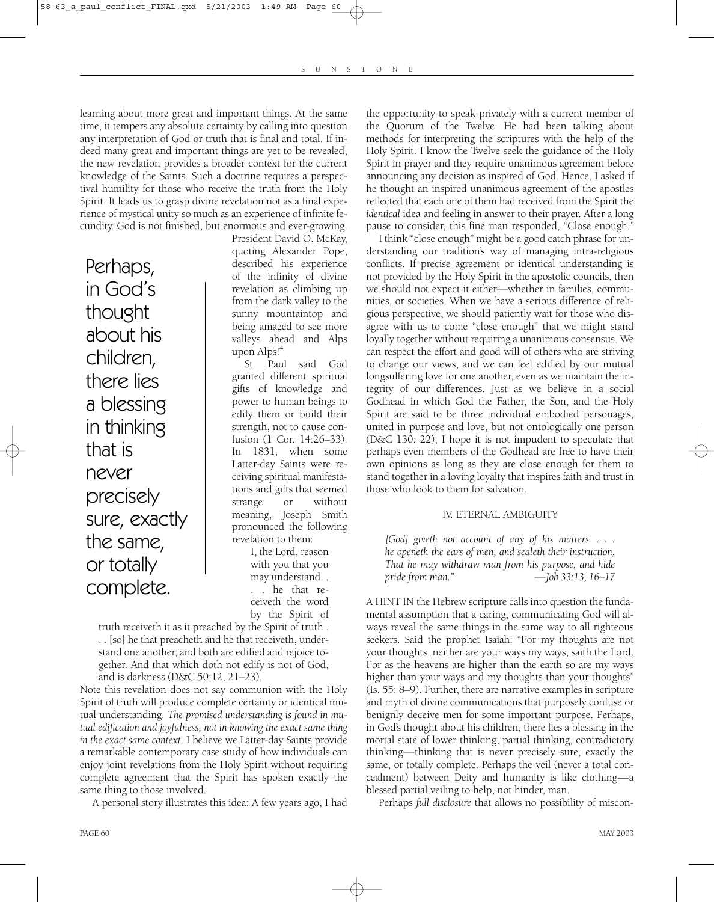learning about more great and important things. At the same time, it tempers any absolute certainty by calling into question any interpretation of God or truth that is final and total. If indeed many great and important things are yet to be revealed, the new revelation provides a broader context for the current knowledge of the Saints. Such a doctrine requires a perspectival humility for those who receive the truth from the Holy Spirit. It leads us to grasp divine revelation not as a final experience of mystical unity so much as an experience of infinite fecundity. God is not finished, but enormous and ever-growing.

Perhaps, in God's thought about his children, there lies a blessing in thinking that is never precisely sure, exactly the same, or totally complete.

President David O. McKay, quoting Alexander Pope, described his experience of the infinity of divine revelation as climbing up from the dark valley to the sunny mountaintop and being amazed to see more valleys ahead and Alps upon Alps!4

St. Paul said God granted different spiritual gifts of knowledge and power to human beings to edify them or build their strength, not to cause confusion (1 Cor. 14:26–33). In 1831, when some Latter-day Saints were receiving spiritual manifestations and gifts that seemed strange or without meaning, Joseph Smith pronounced the following revelation to them:

> I, the Lord, reason with you that you may understand. . . . he that receiveth the word by the Spirit of

truth receiveth it as it preached by the Spirit of truth . . . [so] he that preacheth and he that receiveth, understand one another, and both are edified and rejoice together. And that which doth not edify is not of God, and is darkness (D&C 50:12, 21–23).

Note this revelation does not say communion with the Holy Spirit of truth will produce complete certainty or identical mutual understanding. *The promised understanding is found in mutual edification and joyfulness, not in knowing the exact same thing in the exact same context*. I believe we Latter-day Saints provide a remarkable contemporary case study of how individuals can enjoy joint revelations from the Holy Spirit without requiring complete agreement that the Spirit has spoken exactly the same thing to those involved.

A personal story illustrates this idea: A few years ago, I had

the opportunity to speak privately with a current member of the Quorum of the Twelve. He had been talking about methods for interpreting the scriptures with the help of the Holy Spirit. I know the Twelve seek the guidance of the Holy Spirit in prayer and they require unanimous agreement before announcing any decision as inspired of God. Hence, I asked if he thought an inspired unanimous agreement of the apostles reflected that each one of them had received from the Spirit the *identical* idea and feeling in answer to their prayer. After a long pause to consider, this fine man responded, "Close enough."

I think "close enough" might be a good catch phrase for understanding our tradition's way of managing intra-religious conflicts. If precise agreement or identical understanding is not provided by the Holy Spirit in the apostolic councils, then we should not expect it either—whether in families, communities, or societies. When we have a serious difference of religious perspective, we should patiently wait for those who disagree with us to come "close enough" that we might stand loyally together without requiring a unanimous consensus. We can respect the effort and good will of others who are striving to change our views, and we can feel edified by our mutual longsuffering love for one another, even as we maintain the integrity of our differences. Just as we believe in a social Godhead in which God the Father, the Son, and the Holy Spirit are said to be three individual embodied personages, united in purpose and love, but not ontologically one person (D&C 130: 22), I hope it is not impudent to speculate that perhaps even members of the Godhead are free to have their own opinions as long as they are close enough for them to stand together in a loving loyalty that inspires faith and trust in those who look to them for salvation.

#### IV. ETERNAL AMBIGUITY

*[God] giveth not account of any of his matters. . . . he openeth the ears of men, and sealeth their instruction, That he may withdraw man from his purpose, and hide pride from man." —Job 33:13, 16–17*

A HINT IN the Hebrew scripture calls into question the fundamental assumption that a caring, communicating God will always reveal the same things in the same way to all righteous seekers. Said the prophet Isaiah: "For my thoughts are not your thoughts, neither are your ways my ways, saith the Lord. For as the heavens are higher than the earth so are my ways higher than your ways and my thoughts than your thoughts" (Is. 55: 8–9). Further, there are narrative examples in scripture and myth of divine communications that purposely confuse or benignly deceive men for some important purpose. Perhaps, in God's thought about his children, there lies a blessing in the mortal state of lower thinking, partial thinking, contradictory thinking—thinking that is never precisely sure, exactly the same, or totally complete. Perhaps the veil (never a total concealment) between Deity and humanity is like clothing—a blessed partial veiling to help, not hinder, man.

Perhaps *full disclosure* that allows no possibility of miscon-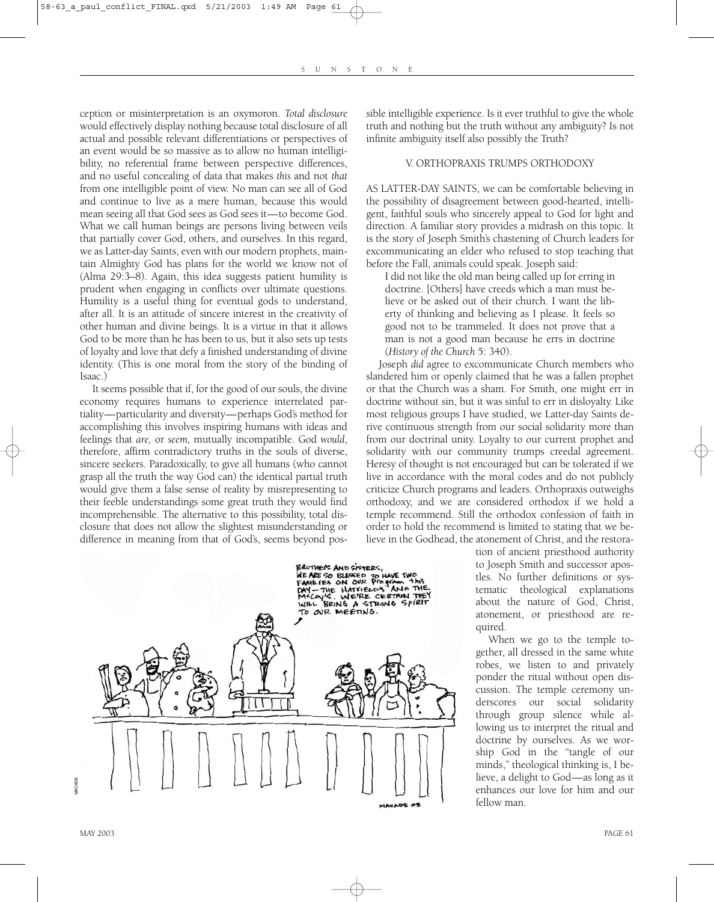ception or misinterpretation is an oxymoron. *Total disclosure* would effectively display nothing because total disclosure of all actual and possible relevant differentiations or perspectives of an event would be so massive as to allow no human intelligibility, no referential frame between perspective differences, and no useful concealing of data that makes *this* and not *that* from one intelligible point of view. No man can see all of God and continue to live as a mere human, because this would mean seeing all that God sees as God sees it—to become God. What we call human beings are persons living between veils that partially cover God, others, and ourselves. In this regard, we as Latter-day Saints, even with our modern prophets, maintain Almighty God has plans for the world we know not of (Alma 29:3–8). Again, this idea suggests patient humility is prudent when engaging in conflicts over ultimate questions. Humility is a useful thing for eventual gods to understand, after all. It is an attitude of sincere interest in the creativity of other human and divine beings. It is a virtue in that it allows God to be more than he has been to us, but it also sets up tests of loyalty and love that defy a finished understanding of divine identity. (This is one moral from the story of the binding of Isaac.)

It seems possible that if, for the good of our souls, the divine economy requires humans to experience interrelated partiality—particularity and diversity—perhaps God's method for accomplishing this involves inspiring humans with ideas and feelings that *are,* or *seem,* mutually incompatible. God *would*, therefore, affirm contradictory truths in the souls of diverse, sincere seekers. Paradoxically, to give all humans (who cannot grasp all the truth the way God can) the identical partial truth would give them a false sense of reality by misrepresenting to their feeble understandings some great truth they would find incomprehensible. The alternative to this possibility, total disclosure that does not allow the slightest misunderstanding or difference in meaning from that of God's, seems beyond possible intelligible experience. Is it ever truthful to give the whole truth and nothing but the truth without any ambiguity? Is not infinite ambiguity itself also possibly the Truth?

#### V. ORTHOPRAXIS TRUMPS ORTHODOXY

AS LATTER-DAY SAINTS, we can be comfortable believing in the possibility of disagreement between good-hearted, intelligent, faithful souls who sincerely appeal to God for light and direction. A familiar story provides a midrash on this topic. It is the story of Joseph Smith's chastening of Church leaders for excommunicating an elder who refused to stop teaching that before the Fall, animals could speak. Joseph said:

I did not like the old man being called up for erring in doctrine. [Others] have creeds which a man must believe or be asked out of their church. I want the liberty of thinking and believing as I please. It feels so good not to be trammeled. It does not prove that a man is not a good man because he errs in doctrine (*History of the Church* 5: 340).

Joseph *did* agree to excommunicate Church members who slandered him or openly claimed that he was a fallen prophet or that the Church was a sham. For Smith, one might err in doctrine without sin, but it was sinful to err in disloyalty. Like most religious groups I have studied, we Latter-day Saints derive continuous strength from our social solidarity more than from our doctrinal unity. Loyalty to our current prophet and solidarity with our community trumps creedal agreement. Heresy of thought is not encouraged but can be tolerated if we live in accordance with the moral codes and do not publicly criticize Church programs and leaders. Orthopraxis outweighs orthodoxy, and we are considered orthodox if we hold a temple recommend. Still the orthodox confession of faith in order to hold the recommend is limited to stating that we believe in the Godhead, the atonement of Christ, and the restora-



tion of ancient priesthood authority to Joseph Smith and successor apostles. No further definitions or systematic theological explanations about the nature of God, Christ, atonement, or priesthood are required.

When we go to the temple together, all dressed in the same white robes, we listen to and privately ponder the ritual without open discussion. The temple ceremony underscores our social solidarity through group silence while allowing us to interpret the ritual and doctrine by ourselves. As we worship God in the "tangle of our minds," theological thinking is, I believe, a delight to God—as long as it enhances our love for him and our fellow man.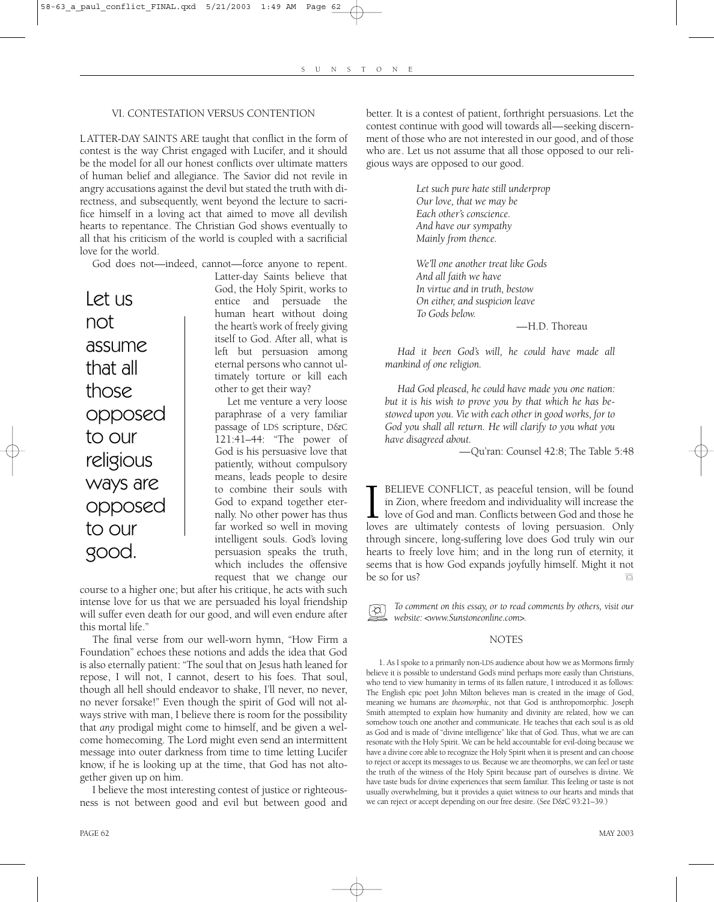#### VI. CONTESTATION VERSUS CONTENTION

L ATTER-DAY SAINTS ARE taught that conflict in the form of contest is the way Christ engaged with Lucifer, and it should be the model for all our honest conflicts over ultimate matters of human belief and allegiance. The Savior did not revile in angry accusations against the devil but stated the truth with directness, and subsequently, went beyond the lecture to sacrifice himself in a loving act that aimed to move all devilish hearts to repentance. The Christian God shows eventually to all that his criticism of the world is coupled with a sacrificial love for the world.

God does not—indeed, cannot—force anyone to repent.

Let us not assume that all those opposed to our religious ways are opposed to our good.

Latter-day Saints believe that God, the Holy Spirit, works to entice and persuade the human heart without doing the heart's work of freely giving itself to God. After all, what is left but persuasion among eternal persons who cannot ultimately torture or kill each other to get their way?

Let me venture a very loose paraphrase of a very familiar passage of LDS scripture, D&C 121:41–44: "The power of God is his persuasive love that patiently, without compulsory means, leads people to desire to combine their souls with God to expand together eternally. No other power has thus far worked so well in moving intelligent souls. God's loving persuasion speaks the truth, which includes the offensive request that we change our

course to a higher one; but after his critique, he acts with such intense love for us that we are persuaded his loyal friendship will suffer even death for our good, and will even endure after this mortal life."

The final verse from our well-worn hymn, "How Firm a Foundation" echoes these notions and adds the idea that God is also eternally patient: "The soul that on Jesus hath leaned for repose, I will not, I cannot, desert to his foes. That soul, though all hell should endeavor to shake, I'll never, no never, no never forsake!" Even though the spirit of God will not always strive with man, I believe there is room for the possibility that *any* prodigal might come to himself, and be given a welcome homecoming. The Lord might even send an intermittent message into outer darkness from time to time letting Lucifer know, if he is looking up at the time, that God has not altogether given up on him.

I believe the most interesting contest of justice or righteousness is not between good and evil but between good and

better. It is a contest of patient, forthright persuasions. Let the contest continue with good will towards all—seeking discernment of those who are not interested in our good, and of those who are. Let us not assume that all those opposed to our religious ways are opposed to our good.

> *Let such pure hate still underprop Our love, that we may be Each other's conscience. And have our sympathy Mainly from thence.*

*We'll one another treat like Gods And all faith we have In virtue and in truth, bestow On either, and suspicion leave To Gods below.*

—H.D. Thoreau

*Had it been God's will, he could have made all mankind of one religion.* 

*Had God pleased, he could have made you one nation: but it is his wish to prove you by that which he has bestowed upon you. Vie with each other in good works, for to God you shall all return. He will clarify to you what you have disagreed about.*

—Qu'ran: Counsel 42:8; The Table 5:48

**I** BELIEVE CONFLICT, as peaceful tension, will be found in Zion, where freedom and individuality will increase the love of God and man. Conflicts between God and those he loves are ultimately contests of loving persuasion BELIEVE CONFLICT, as peaceful tension, will be found in Zion, where freedom and individuality will increase the  $\perp$  love of God and man. Conflicts between God and those he through sincere, long-suffering love does God truly win our hearts to freely love him; and in the long run of eternity, it seems that is how God expands joyfully himself. Might it not be so for us?

*To comment on this essay, or to read comments by others, visit our*  $\lambda$ *website: <www.Sunstoneonline.com>.*

#### **NOTES**

1. As I spoke to a primarily non-LDS audience about how we as Mormons firmly believe it *is* possible to understand God's mind perhaps more easily than Christians, who tend to view humanity in terms of its fallen nature, I introduced it as follows: The English epic poet John Milton believes man is created in the image of God, meaning we humans are *theomorphic*, not that God is anthropomorphic. Joseph Smith attempted to explain how humanity and divinity are related, how we can somehow touch one another and communicate. He teaches that each soul is as old as God and is made of "divine intelligence" like that of God. Thus, what we are can resonate with the Holy Spirit. We can be held accountable for evil-doing because we have a divine core able to recognize the Holy Spirit when it is present and can choose to reject or accept its messages to us. Because we are theomorphs, we can feel or taste the truth of the witness of the Holy Spirit because part of ourselves is divine. We have taste buds for divine experiences that seem familiar. This feeling or taste is not usually overwhelming, but it provides a quiet witness to our hearts and minds that we can reject or accept depending on our free desire. (See D&C 93:21–39.)